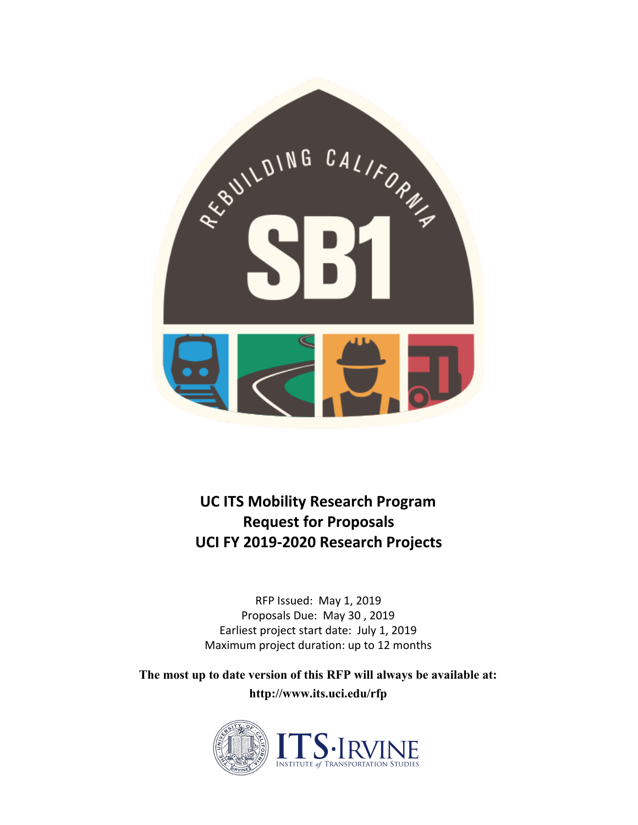

**UC ITS Mobility Research Program Request for Proposals UCI FY 2019-2020 Research Projects**

RFP Issued: May 1, 2019 Proposals Due: May 30 , 2019 Earliest project start date: July 1, 2019 Maximum project duration: up to 12 months

**The most up to date version of this RFP will always be available at: http://www.its.uci.edu/rfp**

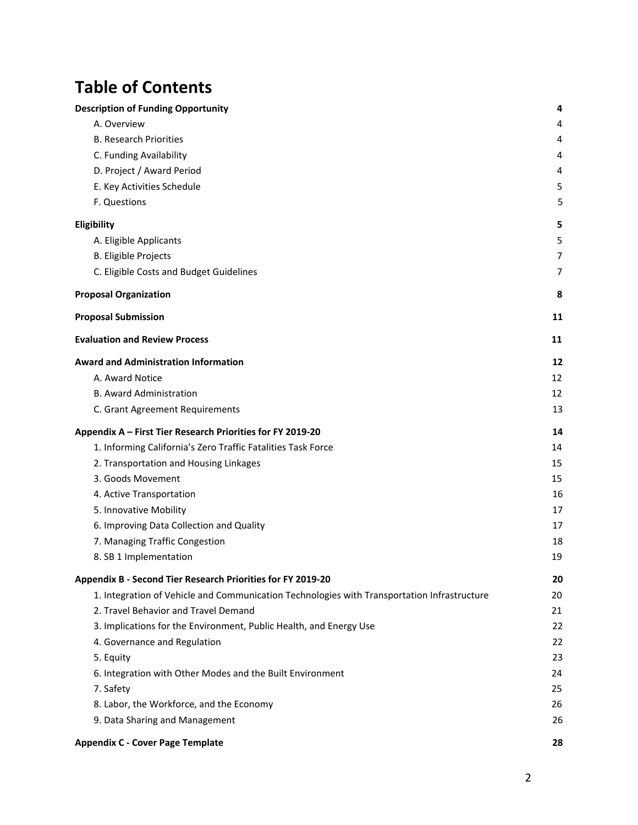# **Table of Contents**

| <b>Description of Funding Opportunity</b>                                                   | 4  |
|---------------------------------------------------------------------------------------------|----|
| A. Overview                                                                                 | 4  |
| <b>B. Research Priorities</b>                                                               | 4  |
| C. Funding Availability                                                                     | 4  |
| D. Project / Award Period                                                                   | 4  |
| E. Key Activities Schedule                                                                  | 5  |
| F. Questions                                                                                | 5  |
| Eligibility                                                                                 | 5  |
| A. Eligible Applicants                                                                      | 5  |
| <b>B. Eligible Projects</b>                                                                 | 7  |
| C. Eligible Costs and Budget Guidelines                                                     | 7  |
| <b>Proposal Organization</b>                                                                | 8  |
| <b>Proposal Submission</b>                                                                  | 11 |
| <b>Evaluation and Review Process</b>                                                        | 11 |
| <b>Award and Administration Information</b>                                                 | 12 |
| A. Award Notice                                                                             | 12 |
| <b>B. Award Administration</b>                                                              | 12 |
| C. Grant Agreement Requirements                                                             | 13 |
| Appendix A - First Tier Research Priorities for FY 2019-20                                  | 14 |
| 1. Informing California's Zero Traffic Fatalities Task Force                                | 14 |
| 2. Transportation and Housing Linkages                                                      | 15 |
| 3. Goods Movement                                                                           | 15 |
| 4. Active Transportation                                                                    | 16 |
| 5. Innovative Mobility                                                                      | 17 |
| 6. Improving Data Collection and Quality                                                    | 17 |
| 7. Managing Traffic Congestion                                                              | 18 |
| 8. SB 1 Implementation                                                                      | 19 |
| Appendix B - Second Tier Research Priorities for FY 2019-20                                 | 20 |
| 1. Integration of Vehicle and Communication Technologies with Transportation Infrastructure | 20 |
| 2. Travel Behavior and Travel Demand                                                        | 21 |
| 3. Implications for the Environment, Public Health, and Energy Use                          | 22 |
| 4. Governance and Regulation                                                                | 22 |
| 5. Equity                                                                                   | 23 |
| 6. Integration with Other Modes and the Built Environment                                   | 24 |
| 7. Safety                                                                                   | 25 |
| 8. Labor, the Workforce, and the Economy                                                    | 26 |
| 9. Data Sharing and Management                                                              | 26 |
| <b>Appendix C - Cover Page Template</b>                                                     | 28 |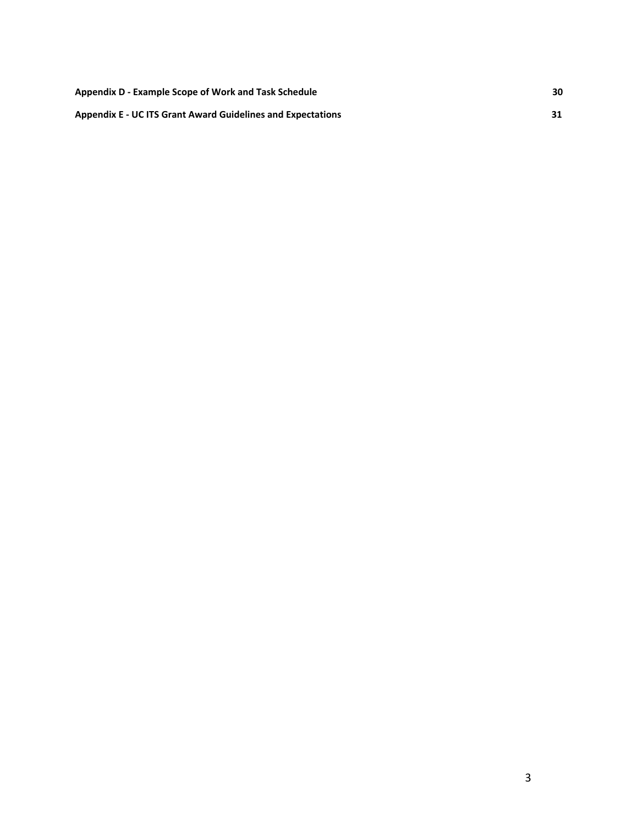| Appendix D - Example Scope of Work and Task Schedule               | 30 |
|--------------------------------------------------------------------|----|
| <b>Appendix E - UC ITS Grant Award Guidelines and Expectations</b> |    |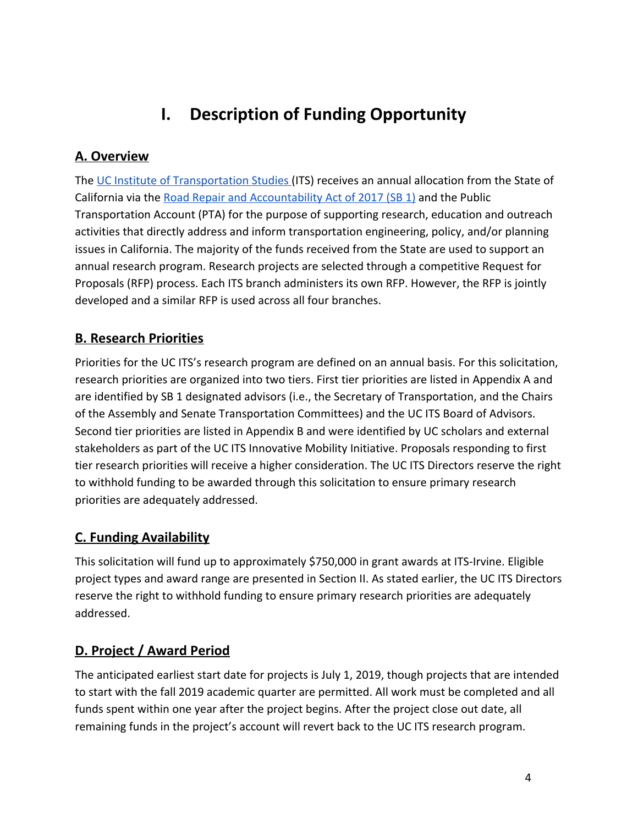# **I. Description of Funding Opportunity**

# <span id="page-3-1"></span><span id="page-3-0"></span>**A. Overview**

The [UC Institute of Transportation Studies \(](http://www.ucits.org/about/)ITS) receives an annual allocation from the State of California via the [Road Repair and Accountability Act of 2017 \(SB 1\)](https://leginfo.legislature.ca.gov/faces/billNavClient.xhtml?bill_id=201720180SB1) and the Public Transportation Account (PTA) for the purpose of supporting research, education and outreach activities that directly address and inform transportation engineering, policy, and/or planning issues in California. The majority of the funds received from the State are used to support an annual research program. Research projects are selected through a competitive Request for Proposals (RFP) process. Each ITS branch administers its own RFP. However, the RFP is jointly developed and a similar RFP is used across all four branches.

# <span id="page-3-2"></span>**B. Research Priorities**

Priorities for the UC ITS's research program are defined on an annual basis. For this solicitation, research priorities are organized into two tiers. First tier priorities are listed in Appendix A and are identified by SB 1 designated advisors (i.e., the Secretary of Transportation, and the Chairs of the Assembly and Senate Transportation Committees) and the [UC ITS Board of Advisors](http://www.ucits.org/board-of-advisors/). Second tier priorities are listed in Appendix B and were identified by UC scholars and external stakeholders as part of the UC ITS Innovative Mobility Initiative. Proposals responding to first tier research priorities will receive a higher consideration. The UC ITS Directors reserve the right to withhold funding to be awarded through this solicitation to ensure primary research priorities are adequately addressed.

# <span id="page-3-3"></span>**C. Funding Availability**

This solicitation will fund up to approximately \$750,000 in grant awards at ITS-Irvine. Eligible project types and award range are presented in Section II. As stated earlier, the UC ITS Directors reserve the right to withhold funding to ensure primary research priorities are adequately addressed.

# <span id="page-3-4"></span>**D. Project / Award Period**

The anticipated earliest start date for projects is July 1, 2019, though projects that are intended to start with the fall 2019 academic quarter are permitted. All work must be completed and all funds spent within one year after the project begins. After the project close out date, all remaining funds in the project's account will revert back to the UC ITS research program.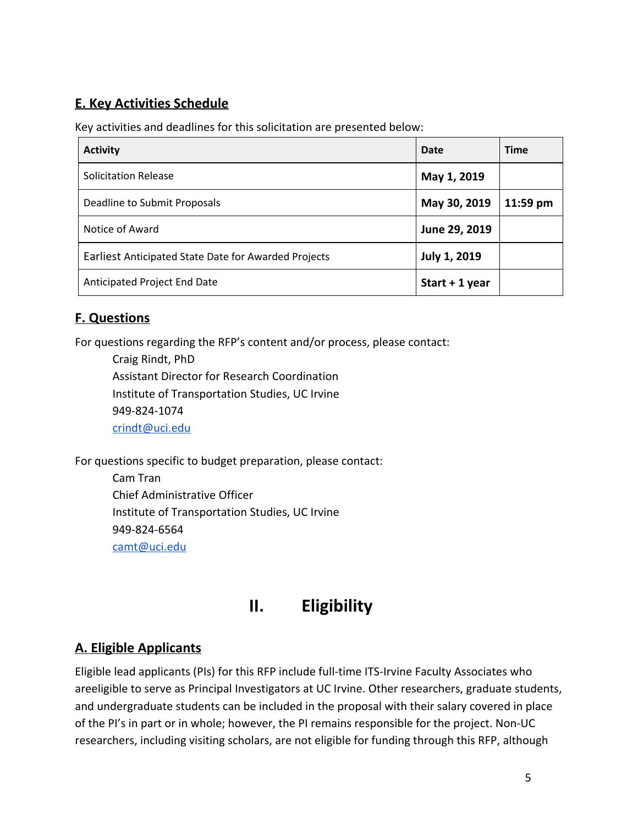# <span id="page-4-0"></span>**E. Key Activities Schedule**

Key activities and deadlines for this solicitation are presented below:

| <b>Activity</b>                                      | Date                | <b>Time</b> |
|------------------------------------------------------|---------------------|-------------|
| <b>Solicitation Release</b>                          | May 1, 2019         |             |
| Deadline to Submit Proposals                         | May 30, 2019        | 11:59 pm    |
| Notice of Award                                      | June 29, 2019       |             |
| Earliest Anticipated State Date for Awarded Projects | <b>July 1, 2019</b> |             |
| Anticipated Project End Date                         | Start $+1$ year     |             |

# <span id="page-4-1"></span>**F. Questions**

For questions regarding the RFP's content and/or process, please contact:

Craig Rindt, PhD Assistant Director for Research Coordination Institute of Transportation Studies, UC Irvine 949-824-1074 [crindt@uci.edu](mailto:crindt@uci.edu)

For questions specific to budget preparation, please contact:

Cam Tran Chief Administrative Officer Institute of Transportation Studies, UC Irvine 949-824-6564 [camt@uci.edu](mailto:camt@uci.edu)

# **II. Eligibility**

# <span id="page-4-3"></span><span id="page-4-2"></span>**A. Eligible Applicants**

Eligible lead applicants (PIs) for this RFP include full-time ITS-Irvine Faculty Associates who areeligible to serve as Principal Investigators at UC Irvine. Other researchers, graduate students, and undergraduate students can be included in the proposal with their salary covered in place of the PI's in part or in whole; however, the PI remains responsible for the project. Non-UC researchers, including visiting scholars, are not eligible for funding through this RFP, although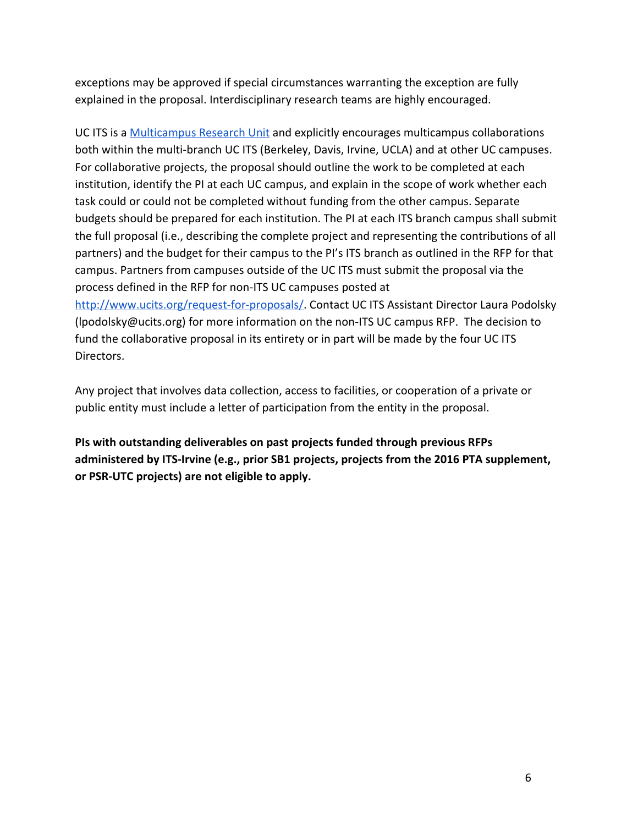exceptions may be approved if special circumstances warranting the exception are fully explained in the proposal. Interdisciplinary research teams are highly encouraged.

UC ITS is a [Multicampus Research Unit](https://www.ucop.edu/research-graduate-studies/programs-and-initiatives/state-and-systemwide-research/multicampus-research-units.html) and explicitly encourages multicampus collaborations both within the multi-branch UC ITS (Berkeley, Davis, Irvine, UCLA) and at other UC campuses. For collaborative projects, the proposal should outline the work to be completed at each institution, identify the PI at each UC campus, and explain in the scope of work whether each task could or could not be completed without funding from the other campus. Separate budgets should be prepared for each institution. The PI at each ITS branch campus shall submit the full proposal (i.e., describing the complete project and representing the contributions of all partners) and the budget for their campus to the PI's ITS branch as outlined in the RFP for that campus. Partners from campuses outside of the UC ITS must submit the proposal via the process defined in the RFP for non-ITS UC campuses posted at [http://www.ucits.org/request-for-proposals/.](http://www.ucits.org/request-for-proposals/) Contact UC ITS Assistant Director Laura Podolsky

(lpodolsky@ucits.org) for more information on the non-ITS UC campus RFP. The decision to fund the collaborative proposal in its entirety or in part will be made by the four UC ITS Directors.

Any project that involves data collection, access to facilities, or cooperation of a private or public entity must include a letter of participation from the entity in the proposal.

**PIs with outstanding deliverables on past projects funded through previous RFPs administered by ITS-Irvine (e.g., prior SB1 projects, projects from the 2016 PTA supplement, or PSR-UTC projects) are not eligible to apply.**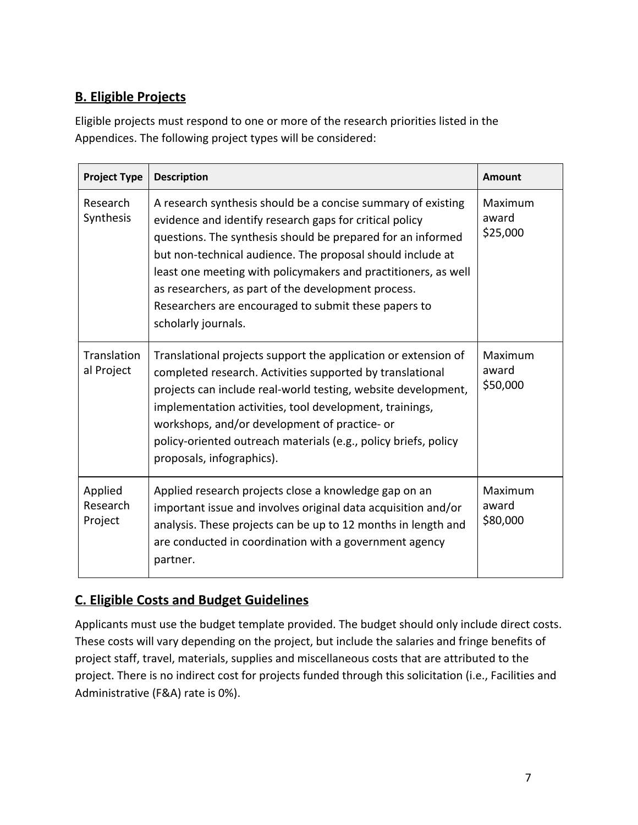# <span id="page-6-0"></span>**B. Eligible Projects**

Eligible projects must respond to one or more of the research priorities listed in the Appendices. The following project types will be considered:

| <b>Project Type</b>            | <b>Description</b>                                                                                                                                                                                                                                                                                                                                                                                                                                           | <b>Amount</b>                |
|--------------------------------|--------------------------------------------------------------------------------------------------------------------------------------------------------------------------------------------------------------------------------------------------------------------------------------------------------------------------------------------------------------------------------------------------------------------------------------------------------------|------------------------------|
| Research<br>Synthesis          | A research synthesis should be a concise summary of existing<br>evidence and identify research gaps for critical policy<br>questions. The synthesis should be prepared for an informed<br>but non-technical audience. The proposal should include at<br>least one meeting with policymakers and practitioners, as well<br>as researchers, as part of the development process.<br>Researchers are encouraged to submit these papers to<br>scholarly journals. | Maximum<br>award<br>\$25,000 |
| Translation<br>al Project      | Translational projects support the application or extension of<br>completed research. Activities supported by translational<br>projects can include real-world testing, website development,<br>implementation activities, tool development, trainings,<br>workshops, and/or development of practice- or<br>policy-oriented outreach materials (e.g., policy briefs, policy<br>proposals, infographics).                                                     | Maximum<br>award<br>\$50,000 |
| Applied<br>Research<br>Project | Applied research projects close a knowledge gap on an<br>important issue and involves original data acquisition and/or<br>analysis. These projects can be up to 12 months in length and<br>are conducted in coordination with a government agency<br>partner.                                                                                                                                                                                                | Maximum<br>award<br>\$80,000 |

# <span id="page-6-1"></span>**C. Eligible Costs and Budget Guidelines**

Applicants must use the budget template provided. The budget should only include direct costs. These costs will vary depending on the project, but include the salaries and fringe benefits of project staff, travel, materials, supplies and miscellaneous costs that are attributed to the project. There is no indirect cost for projects funded through this solicitation (i.e., Facilities and Administrative (F&A) rate is 0%).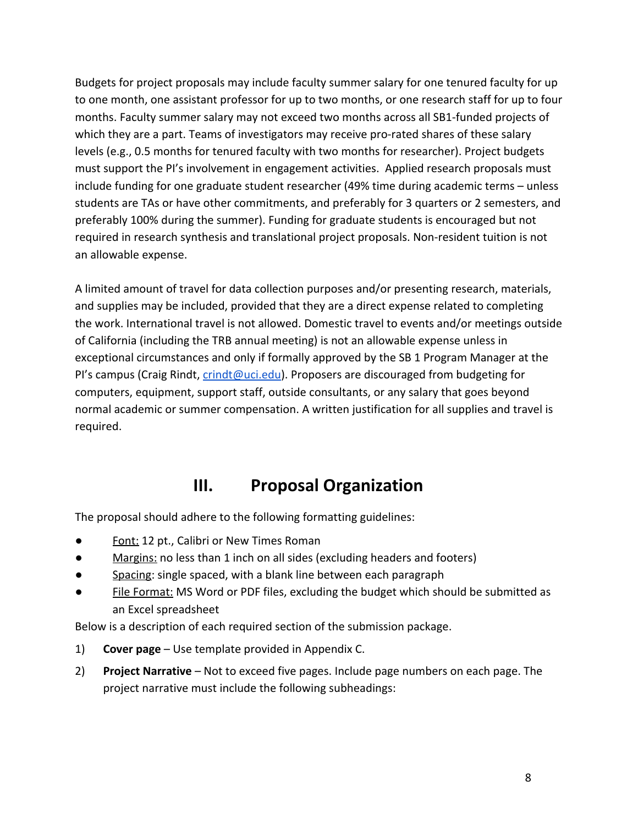Budgets for project proposals may include faculty summer salary for one tenured faculty for up to one month, one assistant professor for up to two months, or one research staff for up to four months. Faculty summer salary may not exceed two months across all SB1-funded projects of which they are a part. Teams of investigators may receive pro-rated shares of these salary levels (e.g., 0.5 months for tenured faculty with two months for researcher). Project budgets must support the PI's involvement in engagement activities. Applied research proposals must include funding for one graduate student researcher (49% time during academic terms – unless students are TAs or have other commitments, and preferably for 3 quarters or 2 semesters, and preferably 100% during the summer). Funding for graduate students is encouraged but not required in research synthesis and translational project proposals. Non-resident tuition is not an allowable expense.

A limited amount of travel for data collection purposes and/or presenting research, materials, and supplies may be included, provided that they are a direct expense related to completing the work. International travel is not allowed. Domestic travel to events and/or meetings outside of California (including the TRB annual meeting) is not an allowable expense unless in exceptional circumstances and only if formally approved by the SB 1 Program Manager at the PI's campus (Craig Rindt, [crindt@uci.edu\)](mailto:crindt@uci.edu). Proposers are discouraged from budgeting for computers, equipment, support staff, outside consultants, or any salary that goes beyond normal academic or summer compensation. A written justification for all supplies and travel is required.

# **III. Proposal Organization**

<span id="page-7-0"></span>The proposal should adhere to the following formatting guidelines:

- Font: 12 pt., Calibri or New Times Roman
- Margins: no less than 1 inch on all sides (excluding headers and footers)
- Spacing: single spaced, with a blank line between each paragraph
- File Format: MS Word or PDF files, excluding the budget which should be submitted as an Excel spreadsheet

Below is a description of each required section of the submission package.

- 1) **Cover page** Use template provided in Appendix C.
- 2) **Project Narrative** Not to exceed five pages. Include page numbers on each page. The project narrative must include the following subheadings: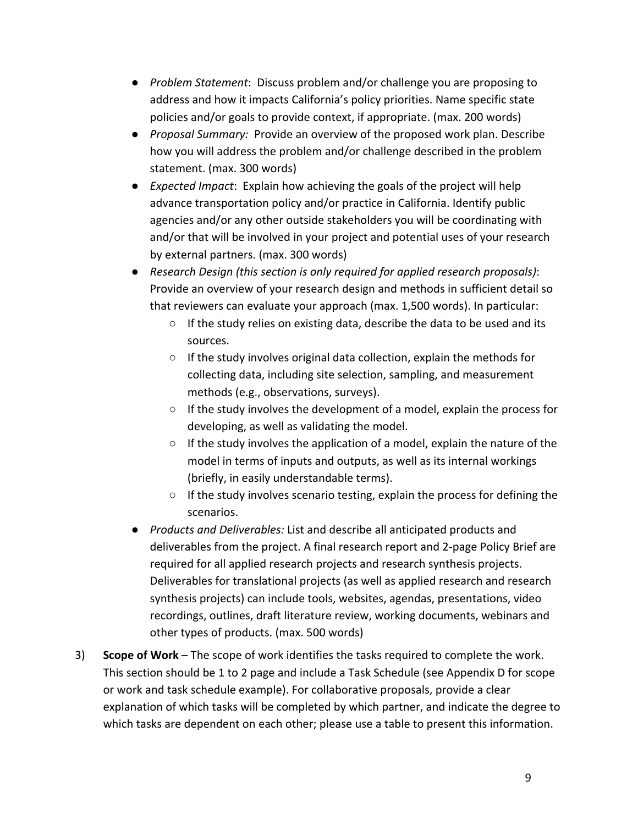- *Problem Statement*: Discuss problem and/or challenge you are proposing to address and how it impacts California's policy priorities. Name specific state policies and/or goals to provide context, if appropriate. (max. 200 words)
- *Proposal Summary:* Provide an overview of the proposed work plan. Describe how you will address the problem and/or challenge described in the problem statement. (max. 300 words)
- *Expected Impact*: Explain how achieving the goals of the project will help advance transportation policy and/or practice in California. Identify public agencies and/or any other outside stakeholders you will be coordinating with and/or that will be involved in your project and potential uses of your research by external partners. (max. 300 words)
- *Research Design (this section is only required for applied research proposals)*: Provide an overview of your research design and methods in sufficient detail so that reviewers can evaluate your approach (max. 1,500 words). In particular:
	- If the study relies on existing data, describe the data to be used and its sources.
	- If the study involves original data collection, explain the methods for collecting data, including site selection, sampling, and measurement methods (e.g., observations, surveys).
	- $\circ$  If the study involves the development of a model, explain the process for developing, as well as validating the model.
	- If the study involves the application of a model, explain the nature of the model in terms of inputs and outputs, as well as its internal workings (briefly, in easily understandable terms).
	- If the study involves scenario testing, explain the process for defining the scenarios.
- *Products and Deliverables:* List and describe all anticipated products and deliverables from the project. A final research report and 2-page Policy Brief are required for all applied research projects and research synthesis projects. Deliverables for translational projects (as well as applied research and research synthesis projects) can include tools, websites, agendas, presentations, video recordings, outlines, draft literature review, working documents, webinars and other types of products. (max. 500 words)
- 3) **Scope of Work** The scope of work identifies the tasks required to complete the work. This section should be 1 to 2 page and include a Task Schedule (see Appendix D for scope or work and task schedule example). For collaborative proposals, provide a clear explanation of which tasks will be completed by which partner, and indicate the degree to which tasks are dependent on each other; please use a table to present this information.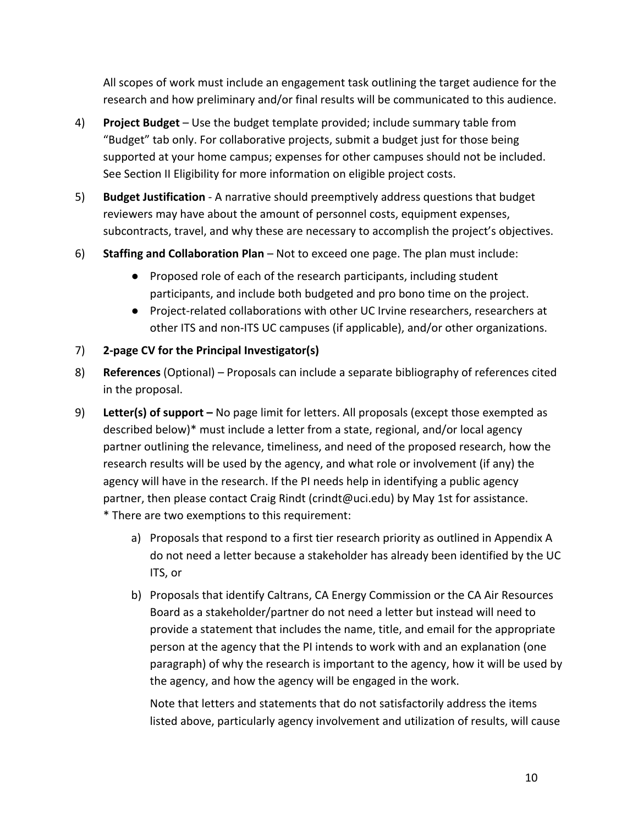All scopes of work must include an engagement task outlining the target audience for the research and how preliminary and/or final results will be communicated to this audience.

- 4) **Project Budget** Use the budget template provided; include summary table from "Budget" tab only. For collaborative projects, submit a budget just for those being supported at your home campus; expenses for other campuses should not be included. See Section II Eligibility for more information on eligible project costs.
- 5) **Budget Justification** A narrative should preemptively address questions that budget reviewers may have about the amount of personnel costs, equipment expenses, subcontracts, travel, and why these are necessary to accomplish the project's objectives.
- 6) **Staffing and Collaboration Plan** Not to exceed one page. The plan must include:
	- Proposed role of each of the research participants, including student participants, and include both budgeted and pro bono time on the project.
	- Project-related collaborations with other UC Irvine researchers, researchers at other ITS and non-ITS UC campuses (if applicable), and/or other organizations.
- 7) **2-page CV for the Principal Investigator(s)**
- 8) **References** (Optional) Proposals can include a separate bibliography of references cited in the proposal.
- 9) **Letter(s) of support** No page limit for letters. All proposals (except those exempted as described below)\* must include a letter from a state, regional, and/or local agency partner outlining the relevance, timeliness, and need of the proposed research, how the research results will be used by the agency, and what role or involvement (if any) the agency will have in the research. If the PI needs help in identifying a public agency partner, then please contact Craig Rindt (crindt@uci.edu) by May 1st for assistance. \* There are two exemptions to this requirement:
	- a) Proposals that respond to a first tier research priority as outlined in Appendix A do not need a letter because a stakeholder has already been identified by the UC ITS, or
	- b) Proposals that identify Caltrans, CA Energy Commission or the CA Air Resources Board as a stakeholder/partner do not need a letter but instead will need to provide a statement that includes the name, title, and email for the appropriate person at the agency that the PI intends to work with and an explanation (one paragraph) of why the research is important to the agency, how it will be used by the agency, and how the agency will be engaged in the work.

Note that letters and statements that do not satisfactorily address the items listed above, particularly agency involvement and utilization of results, will cause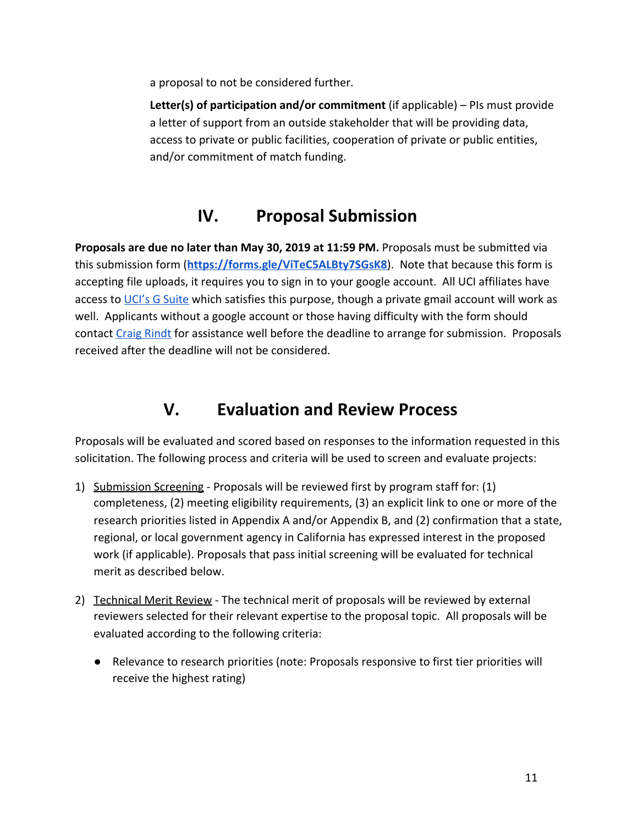a proposal to not be considered further.

**Letter(s) of participation and/or commitment** (if applicable) – PIs must provide a letter of support from an outside stakeholder that will be providing data, access to private or public facilities, cooperation of private or public entities, and/or commitment of match funding.

# **IV. Proposal Submission**

<span id="page-10-0"></span>**Proposals are due no later than May 30, 2019 at 11:59 PM.** Proposals must be submitted via this submission form (**<https://forms.gle/ViTeC5ALBty7SGsK8>**). Note that because this form is accepting file uploads, it requires you to sign in to your google account. All UCI affiliates have access to [UCI's G Suite](https://www.oit.uci.edu/help/google/) which satisfies this purpose, though a private gmail account will work as well. Applicants without a google account or those having difficulty with the form should contact [Craig Rindt](mailto:crindt@uci.edu) for assistance well before the deadline to arrange for submission. Proposals received after the deadline will not be considered.

# **V. Evaluation and Review Process**

<span id="page-10-1"></span>Proposals will be evaluated and scored based on responses to the information requested in this solicitation. The following process and criteria will be used to screen and evaluate projects:

- 1) Submission Screening Proposals will be reviewed first by program staff for: (1) completeness, (2) meeting eligibility requirements, (3) an explicit link to one or more of the research priorities listed in Appendix A and/or Appendix B, and (2) confirmation that a state, regional, or local government agency in California has expressed interest in the proposed work (if applicable). Proposals that pass initial screening will be evaluated for technical merit as described below.
- 2) Technical Merit Review The technical merit of proposals will be reviewed by external reviewers selected for their relevant expertise to the proposal topic. All proposals will be evaluated according to the following criteria:
	- Relevance to research priorities (note: Proposals responsive to first tier priorities will receive the highest rating)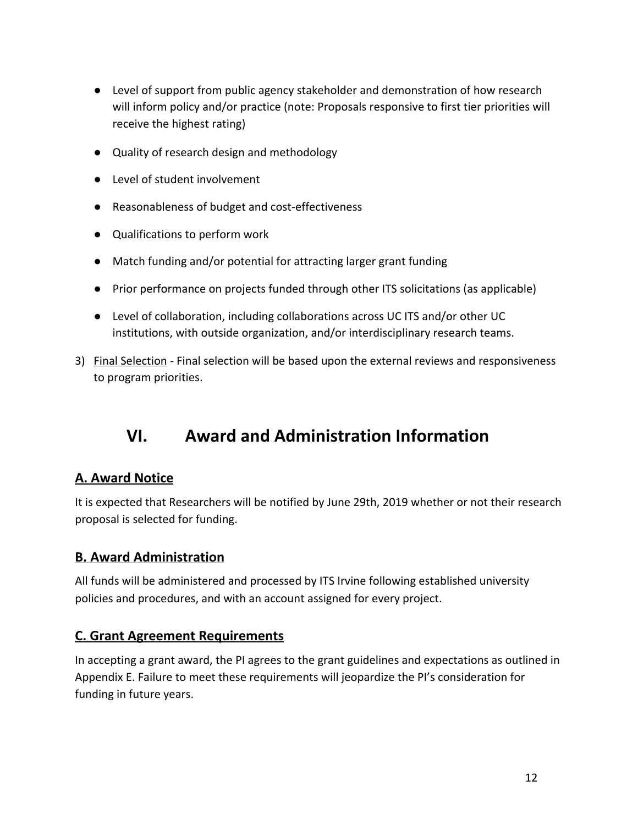- Level of support from public agency stakeholder and demonstration of how research will inform policy and/or practice (note: Proposals responsive to first tier priorities will receive the highest rating)
- Quality of research design and methodology
- Level of student involvement
- Reasonableness of budget and cost-effectiveness
- Qualifications to perform work
- Match funding and/or potential for attracting larger grant funding
- Prior performance on projects funded through other ITS solicitations (as applicable)
- Level of collaboration, including collaborations across UC ITS and/or other UC institutions, with outside organization, and/or interdisciplinary research teams.
- <span id="page-11-0"></span>3) Final Selection - Final selection will be based upon the external reviews and responsiveness to program priorities.

# **VI. Award and Administration Information**

# <span id="page-11-1"></span>**A. Award Notice**

It is expected that Researchers will be notified by June 29th, 2019 whether or not their research proposal is selected for funding.

# <span id="page-11-2"></span>**B. Award Administration**

All funds will be administered and processed by ITS Irvine following established university policies and procedures, and with an account assigned for every project.

# <span id="page-11-3"></span>**C. Grant Agreement Requirements**

In accepting a grant award, the PI agrees to the grant guidelines and expectations as outlined in Appendix E. Failure to meet these requirements will jeopardize the PI's consideration for funding in future years.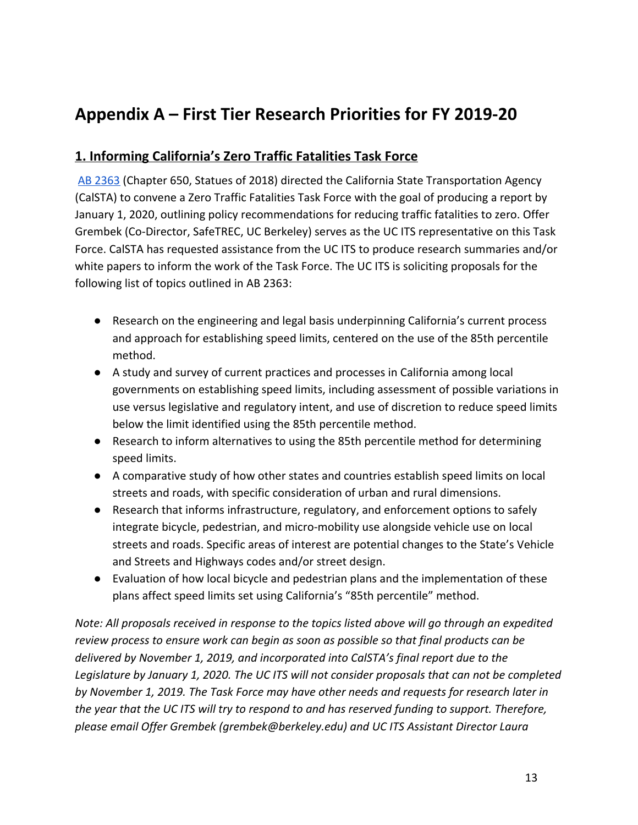# <span id="page-12-0"></span>**Appendix A – First Tier Research Priorities for FY 2019-20**

# <span id="page-12-1"></span>**1. Informing California's Zero Traffic Fatalities Task Force**

[AB 2363](http://leginfo.legislature.ca.gov/faces/billTextClient.xhtml?bill_id=201720180AB2363) (Chapter 650, Statues of 2018) directed the California State Transportation Agency (CalSTA) to convene a Zero Traffic Fatalities Task Force with the goal of producing a report by January 1, 2020, outlining policy recommendations for reducing traffic fatalities to zero. Offer Grembek (Co-Director, SafeTREC, UC Berkeley) serves as the UC ITS representative on this Task Force. CalSTA has requested assistance from the UC ITS to produce research summaries and/or white papers to inform the work of the Task Force. The UC ITS is soliciting proposals for the following list of topics outlined in AB 2363:

- Research on the engineering and legal basis underpinning California's current process and approach for establishing speed limits, centered on the use of the 85th percentile method.
- A study and survey of current practices and processes in California among local governments on establishing speed limits, including assessment of possible variations in use versus legislative and regulatory intent, and use of discretion to reduce speed limits below the limit identified using the 85th percentile method.
- Research to inform alternatives to using the 85th percentile method for determining speed limits.
- A comparative study of how other states and countries establish speed limits on local streets and roads, with specific consideration of urban and rural dimensions.
- Research that informs infrastructure, regulatory, and enforcement options to safely integrate bicycle, pedestrian, and micro-mobility use alongside vehicle use on local streets and roads. Specific areas of interest are potential changes to the State's Vehicle and Streets and Highways codes and/or street design.
- Evaluation of how local bicycle and pedestrian plans and the implementation of these plans affect speed limits set using California's "85th percentile" method.

*Note: All proposals received in response to the topics listed above will go through an expedited review process to ensure work can begin as soon as possible so that final products can be delivered by November 1, 2019, and incorporated into CalSTA's final report due to the Legislature by January 1, 2020. The UC ITS will not consider proposals that can not be completed by November 1, 2019. The Task Force may have other needs and requests for research later in the year that the UC ITS will try to respond to and has reserved funding to support. Therefore, please email Offer Grembek (grembek@berkeley.edu) and UC ITS Assistant Director Laura*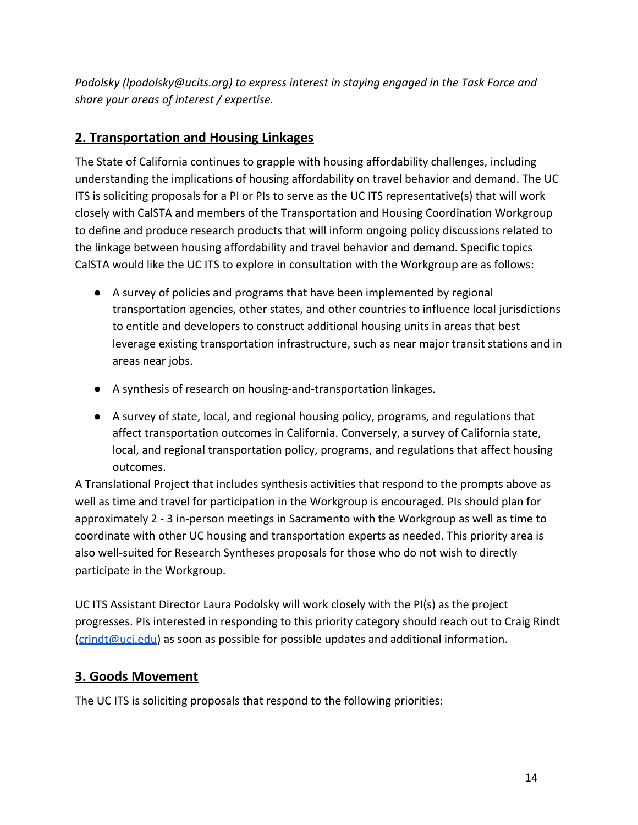*Podolsky (lpodolsky@ucits.org) to express interest in staying engaged in the Task Force and share your areas of interest / expertise.*

# <span id="page-13-0"></span>**2. Transportation and Housing Linkages**

The State of California continues to grapple with housing affordability challenges, including understanding the implications of housing affordability on travel behavior and demand. The UC ITS is soliciting proposals for a PI or PIs to serve as the UC ITS representative(s) that will work closely with CalSTA and members of the Transportation and Housing Coordination Workgroup to define and produce research products that will inform ongoing policy discussions related to the linkage between housing affordability and travel behavior and demand. Specific topics CalSTA would like the UC ITS to explore in consultation with the Workgroup are as follows:

- A survey of policies and programs that have been implemented by regional transportation agencies, other states, and other countries to influence local jurisdictions to entitle and developers to construct additional housing units in areas that best leverage existing transportation infrastructure, such as near major transit stations and in areas near jobs.
- A synthesis of research on housing-and-transportation linkages.
- A survey of state, local, and regional housing policy, programs, and regulations that affect transportation outcomes in California. Conversely, a survey of California state, local, and regional transportation policy, programs, and regulations that affect housing outcomes.

A Translational Project that includes synthesis activities that respond to the prompts above as well as time and travel for participation in the Workgroup is encouraged. PIs should plan for approximately 2 - 3 in-person meetings in Sacramento with the Workgroup as well as time to coordinate with other UC housing and transportation experts as needed. This priority area is also well-suited for Research Syntheses proposals for those who do not wish to directly participate in the Workgroup.

UC ITS Assistant Director Laura Podolsky will work closely with the PI(s) as the project progresses. PIs interested in responding to this priority category should reach out to Craig Rindt ([crindt@uci.edu\)](mailto:crindt@uci.edu) as soon as possible for possible updates and additional information.

# <span id="page-13-1"></span>**3. Goods Movement**

The UC ITS is soliciting proposals that respond to the following priorities: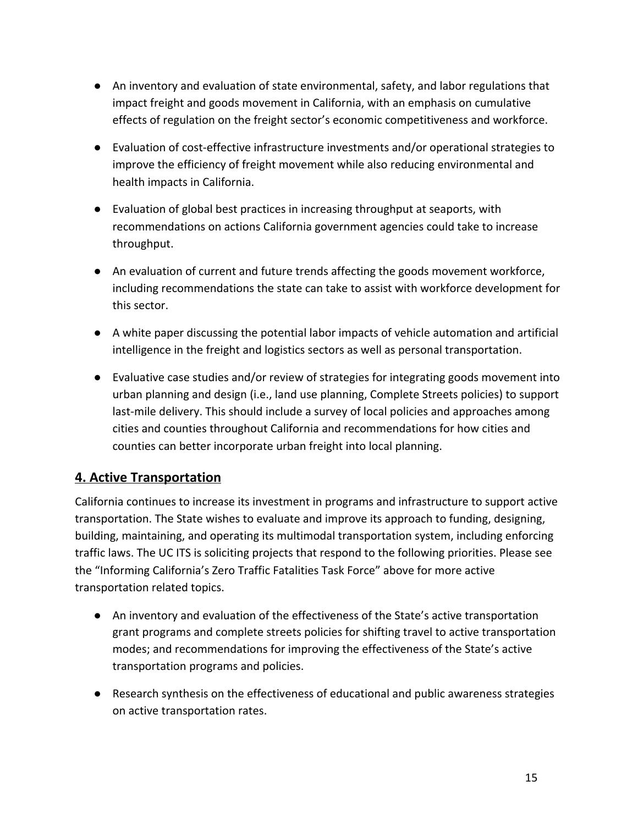- An inventory and evaluation of state environmental, safety, and labor regulations that impact freight and goods movement in California, with an emphasis on cumulative effects of regulation on the freight sector's economic competitiveness and workforce.
- Evaluation of cost-effective infrastructure investments and/or operational strategies to improve the efficiency of freight movement while also reducing environmental and health impacts in California.
- Evaluation of global best practices in increasing throughput at seaports, with recommendations on actions California government agencies could take to increase throughput.
- An evaluation of current and future trends affecting the goods movement workforce, including recommendations the state can take to assist with workforce development for this sector.
- A white paper discussing the potential labor impacts of vehicle automation and artificial intelligence in the freight and logistics sectors as well as personal transportation.
- Evaluative case studies and/or review of strategies for integrating goods movement into urban planning and design (i.e., land use planning, Complete Streets policies) to support last-mile delivery. This should include a survey of local policies and approaches among cities and counties throughout California and recommendations for how cities and counties can better incorporate urban freight into local planning.

# <span id="page-14-0"></span>**4. Active Transportation**

California continues to increase its investment in programs and infrastructure to support active transportation. The State wishes to evaluate and improve its approach to funding, designing, building, maintaining, and operating its multimodal transportation system, including enforcing traffic laws. The UC ITS is soliciting projects that respond to the following priorities. Please see the "Informing California's Zero Traffic Fatalities Task Force" above for more active transportation related topics.

- An inventory and evaluation of the effectiveness of the State's active transportation grant programs and complete streets policies for shifting travel to active transportation modes; and recommendations for improving the effectiveness of the State's active transportation programs and policies.
- Research synthesis on the effectiveness of educational and public awareness strategies on active transportation rates.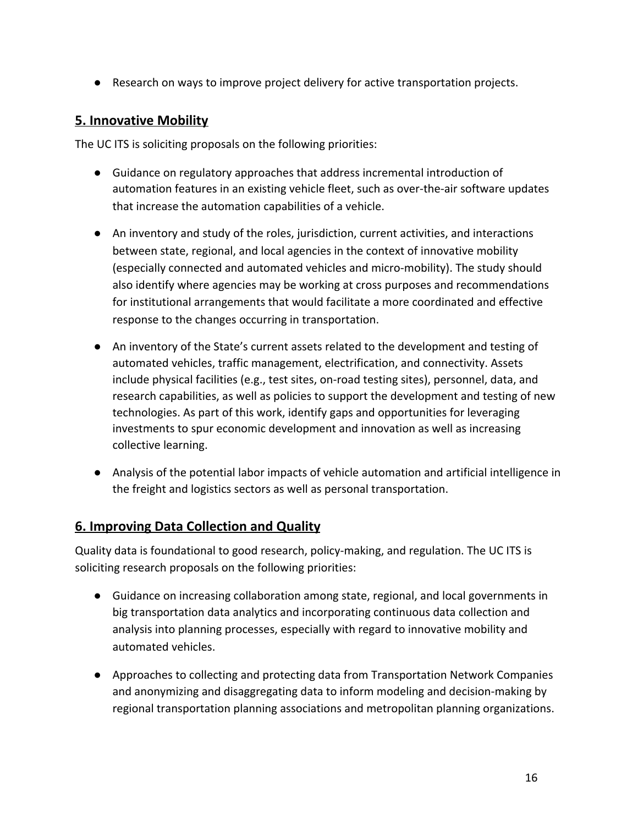● Research on ways to improve project delivery for active transportation projects.

### <span id="page-15-0"></span>**5. Innovative Mobility**

The UC ITS is soliciting proposals on the following priorities:

- Guidance on regulatory approaches that address incremental introduction of automation features in an existing vehicle fleet, such as over-the-air software updates that increase the automation capabilities of a vehicle.
- An inventory and study of the roles, jurisdiction, current activities, and interactions between state, regional, and local agencies in the context of innovative mobility (especially connected and automated vehicles and micro-mobility). The study should also identify where agencies may be working at cross purposes and recommendations for institutional arrangements that would facilitate a more coordinated and effective response to the changes occurring in transportation.
- An inventory of the State's current assets related to the development and testing of automated vehicles, traffic management, electrification, and connectivity. Assets include physical facilities (e.g., test sites, on-road testing sites), personnel, data, and research capabilities, as well as policies to support the development and testing of new technologies. As part of this work, identify gaps and opportunities for leveraging investments to spur economic development and innovation as well as increasing collective learning.
- Analysis of the potential labor impacts of vehicle automation and artificial intelligence in the freight and logistics sectors as well as personal transportation.

# <span id="page-15-1"></span>**6. Improving Data Collection and Quality**

Quality data is foundational to good research, policy-making, and regulation. The UC ITS is soliciting research proposals on the following priorities:

- Guidance on increasing collaboration among state, regional, and local governments in big transportation data analytics and incorporating continuous data collection and analysis into planning processes, especially with regard to innovative mobility and automated vehicles.
- Approaches to collecting and protecting data from Transportation Network Companies and anonymizing and disaggregating data to inform modeling and decision-making by regional transportation planning associations and metropolitan planning organizations.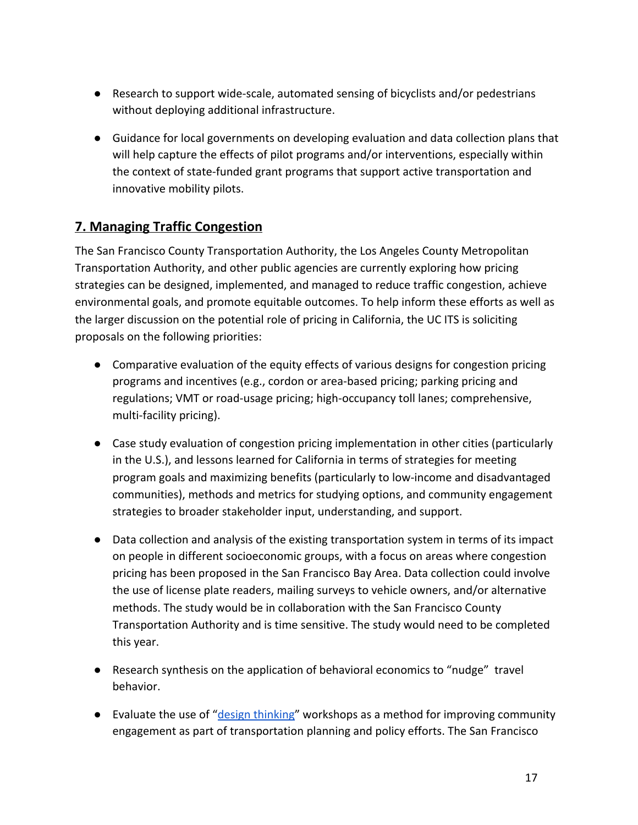- Research to support wide-scale, automated sensing of bicyclists and/or pedestrians without deploying additional infrastructure.
- Guidance for local governments on developing evaluation and data collection plans that will help capture the effects of pilot programs and/or interventions, especially within the context of state-funded grant programs that support active transportation and innovative mobility pilots.

# <span id="page-16-0"></span>**7. Managing Traffic Congestion**

The San Francisco County Transportation Authority, the Los Angeles County Metropolitan Transportation Authority, and other public agencies are currently exploring how pricing strategies can be designed, implemented, and managed to reduce traffic congestion, achieve environmental goals, and promote equitable outcomes. To help inform these efforts as well as the larger discussion on the potential role of pricing in California, the UC ITS is soliciting proposals on the following priorities:

- Comparative evaluation of the equity effects of various designs for congestion pricing programs and incentives (e.g., cordon or area-based pricing; parking pricing and regulations; VMT or road-usage pricing; high-occupancy toll lanes; comprehensive, multi-facility pricing).
- Case study evaluation of congestion pricing implementation in other cities (particularly in the U.S.), and lessons learned for California in terms of strategies for meeting program goals and maximizing benefits (particularly to low-income and disadvantaged communities), methods and metrics for studying options, and community engagement strategies to broader stakeholder input, understanding, and support.
- Data collection and analysis of the existing transportation system in terms of its impact on people in different socioeconomic groups, with a focus on areas where congestion pricing has been proposed in the San Francisco Bay Area. Data collection could involve the use of license plate readers, mailing surveys to vehicle owners, and/or alternative methods. The study would be in collaboration with the San Francisco County Transportation Authority and is time sensitive. The study would need to be completed this year.
- Research synthesis on the application of behavioral economics to "nudge" travel behavior.
- Evaluate the use of "[design thinking"](https://en.wikipedia.org/wiki/Design_thinking) workshops as a method for improving community engagement as part of transportation planning and policy efforts. The San Francisco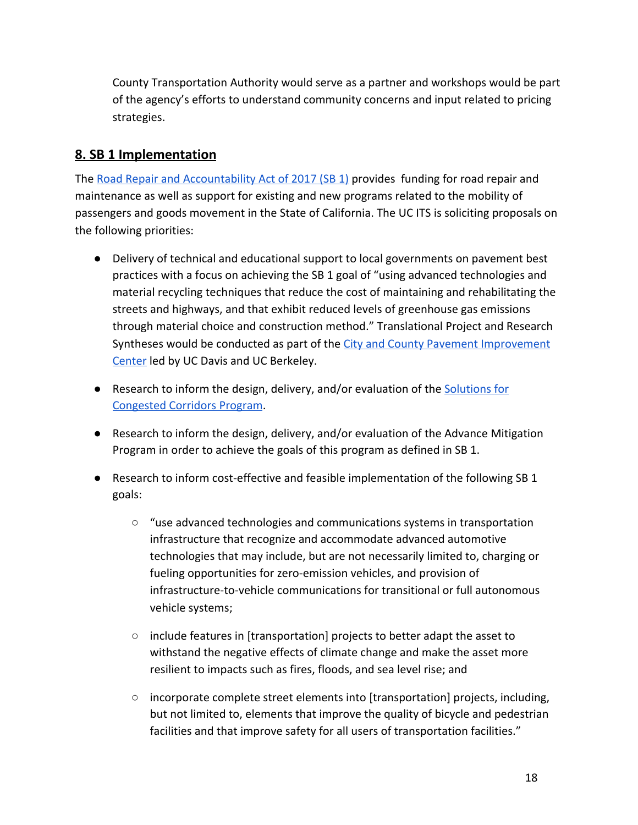County Transportation Authority would serve as a partner and workshops would be part of the agency's efforts to understand community concerns and input related to pricing strategies.

# <span id="page-17-0"></span>**8. SB 1 Implementation**

The [Road Repair and Accountability Act of 2017 \(SB 1\)](http://leginfo.legislature.ca.gov/faces/billNavClient.xhtml?bill_id=201720180SB1) provides funding for road repair and maintenance as well as support for existing and new programs related to the mobility of passengers and goods movement in the State of California. The UC ITS is soliciting proposals on the following priorities:

- Delivery of technical and educational support to local governments on pavement best practices with a focus on achieving the SB 1 goal of "using advanced technologies and material recycling techniques that reduce the cost of maintaining and rehabilitating the streets and highways, and that exhibit reduced levels of greenhouse gas emissions through material choice and construction method." Translational Project and Research Syntheses would be conducted as part of the [City and County Pavement Improvement](http://www.ucprc.ucdavis.edu/ccpic/) [Center](http://www.ucprc.ucdavis.edu/ccpic/) led by UC Davis and UC Berkeley.
- Research to inform the design, delivery, and/or evaluation of the [Solutions for](http://www.catc.ca.gov/programs/sb1/sccp/) [Congested Corridors Program](http://www.catc.ca.gov/programs/sb1/sccp/).
- Research to inform the design, delivery, and/or evaluation of the Advance Mitigation Program in order to achieve the goals of this program as defined in SB 1.
- Research to inform cost-effective and feasible implementation of the following SB 1 goals:
	- $\circ$  "use advanced technologies and communications systems in transportation infrastructure that recognize and accommodate advanced automotive technologies that may include, but are not necessarily limited to, charging or fueling opportunities for zero-emission vehicles, and provision of infrastructure-to-vehicle communications for transitional or full autonomous vehicle systems;
	- include features in [transportation] projects to better adapt the asset to withstand the negative effects of climate change and make the asset more resilient to impacts such as fires, floods, and sea level rise; and
	- $\circ$  incorporate complete street elements into [transportation] projects, including, but not limited to, elements that improve the quality of bicycle and pedestrian facilities and that improve safety for all users of transportation facilities."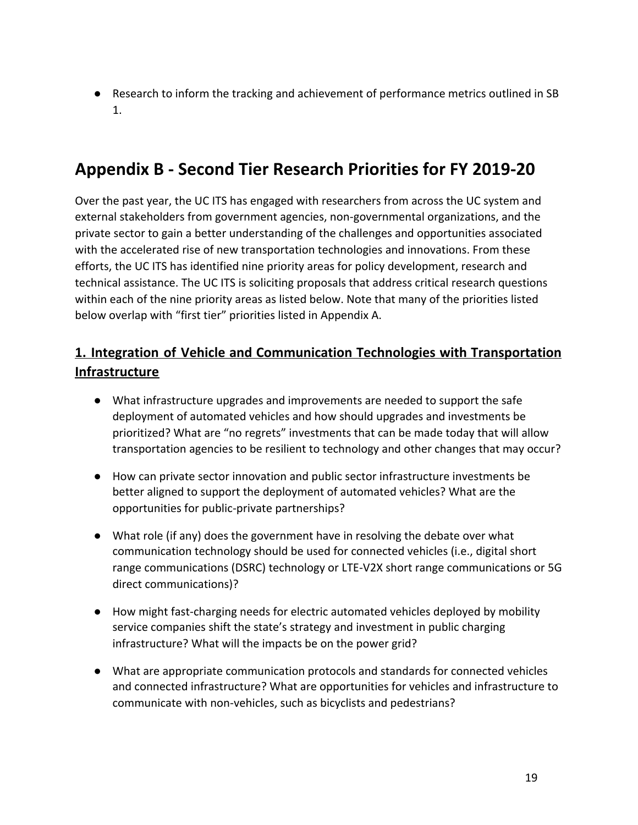<span id="page-18-0"></span>● Research to inform the tracking and achievement of performance metrics outlined in SB 1.

# **Appendix B - Second Tier Research Priorities for FY 2019-20**

Over the past year, the UC ITS has engaged with researchers from across the UC system and external stakeholders from government agencies, non-governmental organizations, and the private sector to gain a better understanding of the challenges and opportunities associated with the accelerated rise of new transportation technologies and innovations. From these efforts, the UC ITS has identified nine priority areas for policy development, research and technical assistance. The UC ITS is soliciting proposals that address critical research questions within each of the nine priority areas as listed below. Note that many of the priorities listed below overlap with "first tier" priorities listed in Appendix A.

# <span id="page-18-1"></span>**1. Integration of Vehicle and Communication Technologies with Transportation Infrastructure**

- What infrastructure upgrades and improvements are needed to support the safe deployment of automated vehicles and how should upgrades and investments be prioritized? What are "no regrets" investments that can be made today that will allow transportation agencies to be resilient to technology and other changes that may occur?
- How can private sector innovation and public sector infrastructure investments be better aligned to support the deployment of automated vehicles? What are the opportunities for public-private partnerships?
- What role (if any) does the government have in resolving the debate over what communication technology should be used for connected vehicles (i.e., digital short range communications (DSRC) technology or LTE-V2X short range communications or 5G direct communications)?
- How might fast-charging needs for electric automated vehicles deployed by mobility service companies shift the state's strategy and investment in public charging infrastructure? What will the impacts be on the power grid?
- What are appropriate communication protocols and standards for connected vehicles and connected infrastructure? What are opportunities for vehicles and infrastructure to communicate with non-vehicles, such as bicyclists and pedestrians?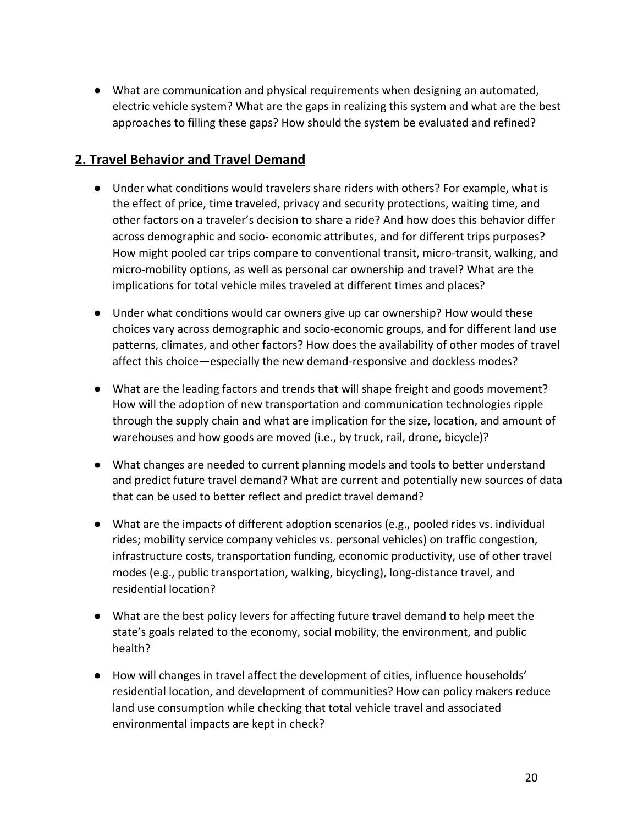● What are communication and physical requirements when designing an automated, electric vehicle system? What are the gaps in realizing this system and what are the best approaches to filling these gaps? How should the system be evaluated and refined?

# <span id="page-19-0"></span>**2. Travel Behavior and Travel Demand**

- Under what conditions would travelers share riders with others? For example, what is the effect of price, time traveled, privacy and security protections, waiting time, and other factors on a traveler's decision to share a ride? And how does this behavior differ across demographic and socio- economic attributes, and for different trips purposes? How might pooled car trips compare to conventional transit, micro-transit, walking, and micro-mobility options, as well as personal car ownership and travel? What are the implications for total vehicle miles traveled at different times and places?
- Under what conditions would car owners give up car ownership? How would these choices vary across demographic and socio-economic groups, and for different land use patterns, climates, and other factors? How does the availability of other modes of travel affect this choice—especially the new demand-responsive and dockless modes?
- What are the leading factors and trends that will shape freight and goods movement? How will the adoption of new transportation and communication technologies ripple through the supply chain and what are implication for the size, location, and amount of warehouses and how goods are moved (i.e., by truck, rail, drone, bicycle)?
- What changes are needed to current planning models and tools to better understand and predict future travel demand? What are current and potentially new sources of data that can be used to better reflect and predict travel demand?
- What are the impacts of different adoption scenarios (e.g., pooled rides vs. individual rides; mobility service company vehicles vs. personal vehicles) on traffic congestion, infrastructure costs, transportation funding, economic productivity, use of other travel modes (e.g., public transportation, walking, bicycling), long-distance travel, and residential location?
- What are the best policy levers for affecting future travel demand to help meet the state's goals related to the economy, social mobility, the environment, and public health?
- How will changes in travel affect the development of cities, influence households' residential location, and development of communities? How can policy makers reduce land use consumption while checking that total vehicle travel and associated environmental impacts are kept in check?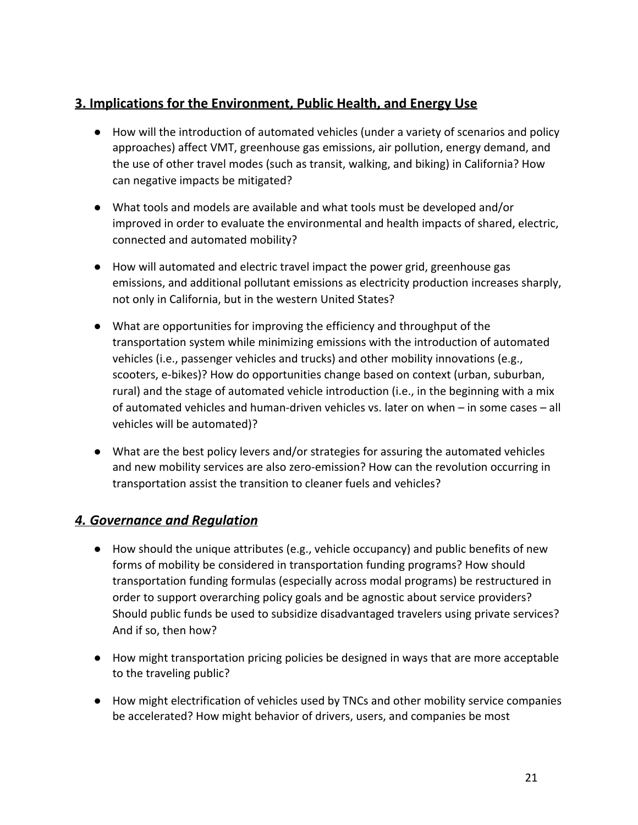# <span id="page-20-0"></span>**3. Implications for the Environment, Public Health, and Energy Use**

- How will the introduction of automated vehicles (under a variety of scenarios and policy approaches) affect VMT, greenhouse gas emissions, air pollution, energy demand, and the use of other travel modes (such as transit, walking, and biking) in California? How can negative impacts be mitigated?
- What tools and models are available and what tools must be developed and/or improved in order to evaluate the environmental and health impacts of shared, electric, connected and automated mobility?
- How will automated and electric travel impact the power grid, greenhouse gas emissions, and additional pollutant emissions as electricity production increases sharply, not only in California, but in the western United States?
- What are opportunities for improving the efficiency and throughput of the transportation system while minimizing emissions with the introduction of automated vehicles (i.e., passenger vehicles and trucks) and other mobility innovations (e.g., scooters, e-bikes)? How do opportunities change based on context (urban, suburban, rural) and the stage of automated vehicle introduction (i.e., in the beginning with a mix of automated vehicles and human-driven vehicles vs. later on when – in some cases – all vehicles will be automated)?
- What are the best policy levers and/or strategies for assuring the automated vehicles and new mobility services are also zero-emission? How can the revolution occurring in transportation assist the transition to cleaner fuels and vehicles?

# <span id="page-20-1"></span>*4. Governance and Regulation*

- How should the unique attributes (e.g., vehicle occupancy) and public benefits of new forms of mobility be considered in transportation funding programs? How should transportation funding formulas (especially across modal programs) be restructured in order to support overarching policy goals and be agnostic about service providers? Should public funds be used to subsidize disadvantaged travelers using private services? And if so, then how?
- How might transportation pricing policies be designed in ways that are more acceptable to the traveling public?
- How might electrification of vehicles used by TNCs and other mobility service companies be accelerated? How might behavior of drivers, users, and companies be most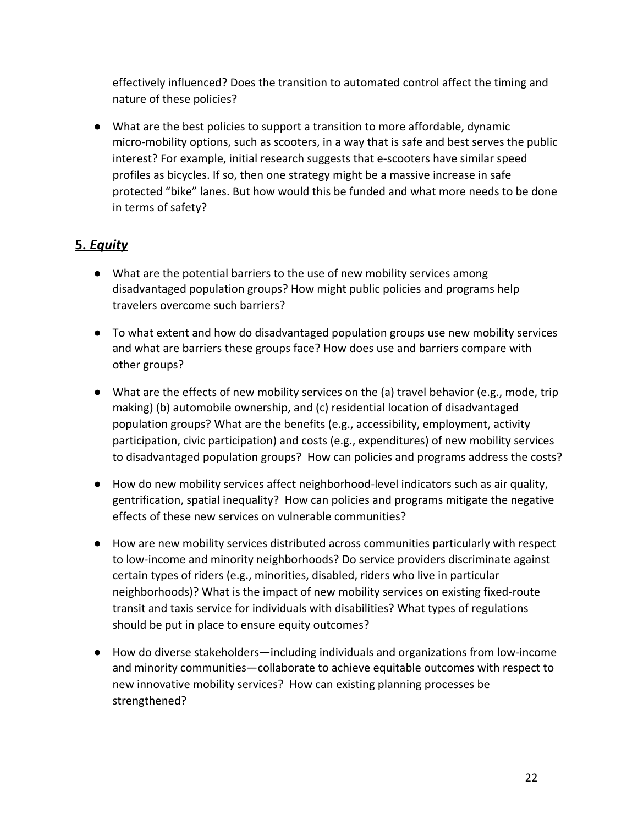effectively influenced? Does the transition to automated control affect the timing and nature of these policies?

● What are the best policies to support a transition to more affordable, dynamic micro-mobility options, such as scooters, in a way that is safe and best serves the public interest? For example, initial research suggests that e-scooters have similar speed profiles as bicycles. If so, then one strategy might be a massive increase in safe protected "bike" lanes. But how would this be funded and what more needs to be done in terms of safety?

# <span id="page-21-0"></span>**5.** *Equity*

- What are the potential barriers to the use of new mobility services among disadvantaged population groups? How might public policies and programs help travelers overcome such barriers?
- To what extent and how do disadvantaged population groups use new mobility services and what are barriers these groups face? How does use and barriers compare with other groups?
- What are the effects of new mobility services on the (a) travel behavior (e.g., mode, trip making) (b) automobile ownership, and (c) residential location of disadvantaged population groups? What are the benefits (e.g., accessibility, employment, activity participation, civic participation) and costs (e.g., expenditures) of new mobility services to disadvantaged population groups? How can policies and programs address the costs?
- How do new mobility services affect neighborhood-level indicators such as air quality, gentrification, spatial inequality? How can policies and programs mitigate the negative effects of these new services on vulnerable communities?
- How are new mobility services distributed across communities particularly with respect to low-income and minority neighborhoods? Do service providers discriminate against certain types of riders (e.g., minorities, disabled, riders who live in particular neighborhoods)? What is the impact of new mobility services on existing fixed-route transit and taxis service for individuals with disabilities? What types of regulations should be put in place to ensure equity outcomes?
- How do diverse stakeholders—including individuals and organizations from low-income and minority communities—collaborate to achieve equitable outcomes with respect to new innovative mobility services? How can existing planning processes be strengthened?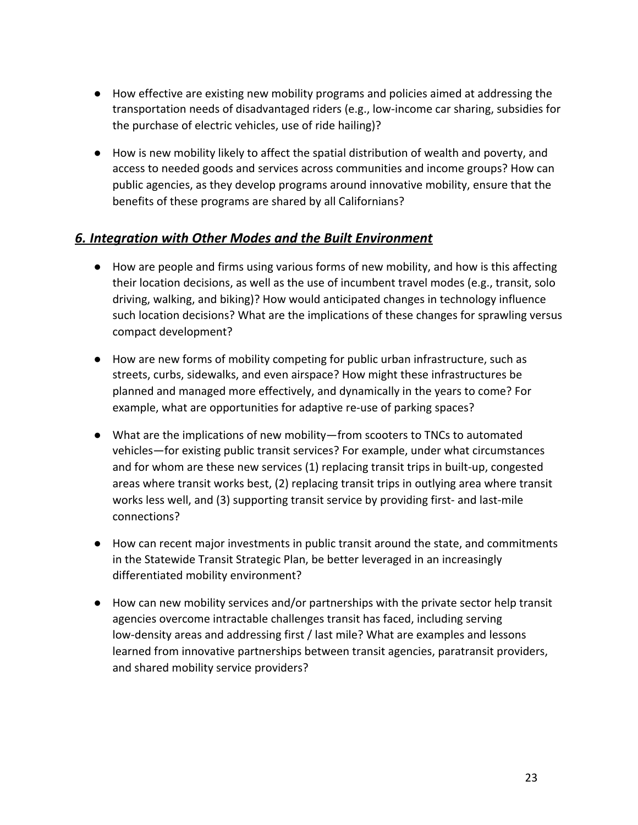- How effective are existing new mobility programs and policies aimed at addressing the transportation needs of disadvantaged riders (e.g., low-income car sharing, subsidies for the purchase of electric vehicles, use of ride hailing)?
- How is new mobility likely to affect the spatial distribution of wealth and poverty, and access to needed goods and services across communities and income groups? How can public agencies, as they develop programs around innovative mobility, ensure that the benefits of these programs are shared by all Californians?

# <span id="page-22-0"></span>*6. Integration with Other Modes and the Built Environment*

- How are people and firms using various forms of new mobility, and how is this affecting their location decisions, as well as the use of incumbent travel modes (e.g., transit, solo driving, walking, and biking)? How would anticipated changes in technology influence such location decisions? What are the implications of these changes for sprawling versus compact development?
- How are new forms of mobility competing for public urban infrastructure, such as streets, curbs, sidewalks, and even airspace? How might these infrastructures be planned and managed more effectively, and dynamically in the years to come? For example, what are opportunities for adaptive re-use of parking spaces?
- What are the implications of new mobility—from scooters to TNCs to automated vehicles—for existing public transit services? For example, under what circumstances and for whom are these new services (1) replacing transit trips in built-up, congested areas where transit works best, (2) replacing transit trips in outlying area where transit works less well, and (3) supporting transit service by providing first- and last-mile connections?
- How can recent major investments in public transit around the state, and commitments in the Statewide Transit Strategic Plan, be better leveraged in an increasingly differentiated mobility environment?
- How can new mobility services and/or partnerships with the private sector help transit agencies overcome intractable challenges transit has faced, including serving low-density areas and addressing first / last mile? What are examples and lessons learned from innovative partnerships between transit agencies, paratransit providers, and shared mobility service providers?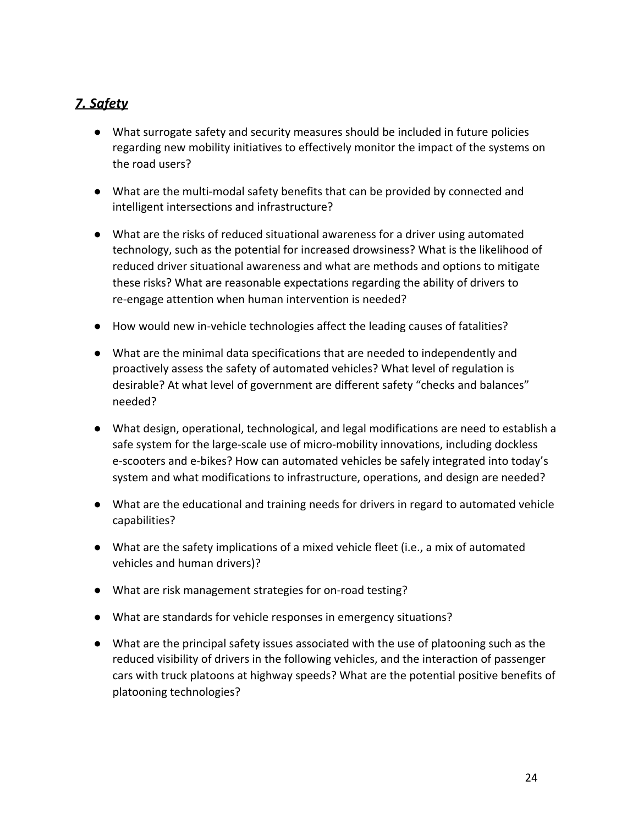# <span id="page-23-0"></span>*7. Safety*

- What surrogate safety and security measures should be included in future policies regarding new mobility initiatives to effectively monitor the impact of the systems on the road users?
- What are the multi-modal safety benefits that can be provided by connected and intelligent intersections and infrastructure?
- What are the risks of reduced situational awareness for a driver using automated technology, such as the potential for increased drowsiness? What is the likelihood of reduced driver situational awareness and what are methods and options to mitigate these risks? What are reasonable expectations regarding the ability of drivers to re-engage attention when human intervention is needed?
- How would new in-vehicle technologies affect the leading causes of fatalities?
- What are the minimal data specifications that are needed to independently and proactively assess the safety of automated vehicles? What level of regulation is desirable? At what level of government are different safety "checks and balances" needed?
- What design, operational, technological, and legal modifications are need to establish a safe system for the large-scale use of micro-mobility innovations, including dockless e-scooters and e-bikes? How can automated vehicles be safely integrated into today's system and what modifications to infrastructure, operations, and design are needed?
- What are the educational and training needs for drivers in regard to automated vehicle capabilities?
- What are the safety implications of a mixed vehicle fleet (i.e., a mix of automated vehicles and human drivers)?
- What are risk management strategies for on-road testing?
- What are standards for vehicle responses in emergency situations?
- What are the principal safety issues associated with the use of platooning such as the reduced visibility of drivers in the following vehicles, and the interaction of passenger cars with truck platoons at highway speeds? What are the potential positive benefits of platooning technologies?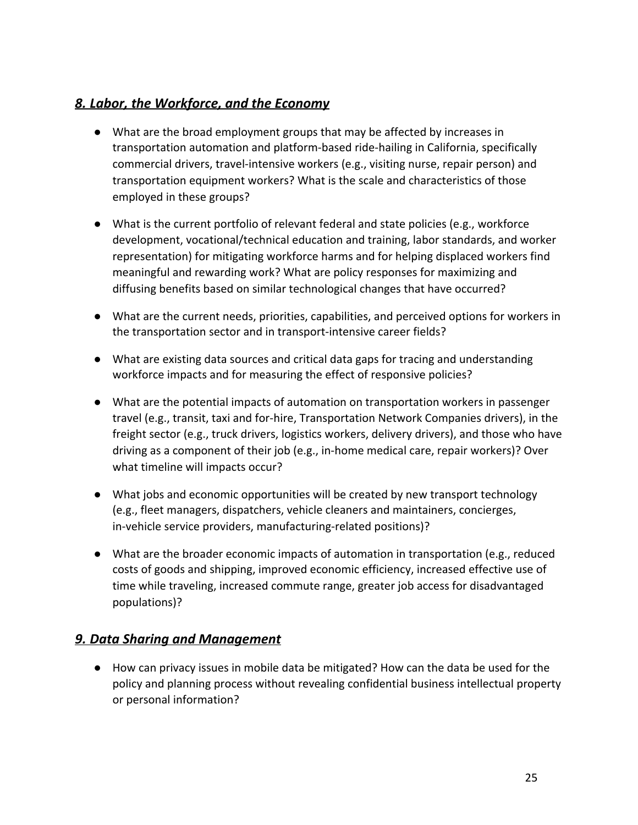### <span id="page-24-0"></span>*8. Labor, the Workforce, and the Economy*

- What are the broad employment groups that may be affected by increases in transportation automation and platform-based ride-hailing in California, specifically commercial drivers, travel-intensive workers (e.g., visiting nurse, repair person) and transportation equipment workers? What is the scale and characteristics of those employed in these groups?
- What is the current portfolio of relevant federal and state policies (e.g., workforce development, vocational/technical education and training, labor standards, and worker representation) for mitigating workforce harms and for helping displaced workers find meaningful and rewarding work? What are policy responses for maximizing and diffusing benefits based on similar technological changes that have occurred?
- What are the current needs, priorities, capabilities, and perceived options for workers in the transportation sector and in transport-intensive career fields?
- What are existing data sources and critical data gaps for tracing and understanding workforce impacts and for measuring the effect of responsive policies?
- What are the potential impacts of automation on transportation workers in passenger travel (e.g., transit, taxi and for-hire, Transportation Network Companies drivers), in the freight sector (e.g., truck drivers, logistics workers, delivery drivers), and those who have driving as a component of their job (e.g., in-home medical care, repair workers)? Over what timeline will impacts occur?
- What jobs and economic opportunities will be created by new transport technology (e.g., fleet managers, dispatchers, vehicle cleaners and maintainers, concierges, in-vehicle service providers, manufacturing-related positions)?
- What are the broader economic impacts of automation in transportation (e.g., reduced costs of goods and shipping, improved economic efficiency, increased effective use of time while traveling, increased commute range, greater job access for disadvantaged populations)?

### <span id="page-24-1"></span>*9. Data Sharing and Management*

● How can privacy issues in mobile data be mitigated? How can the data be used for the policy and planning process without revealing confidential business intellectual property or personal information?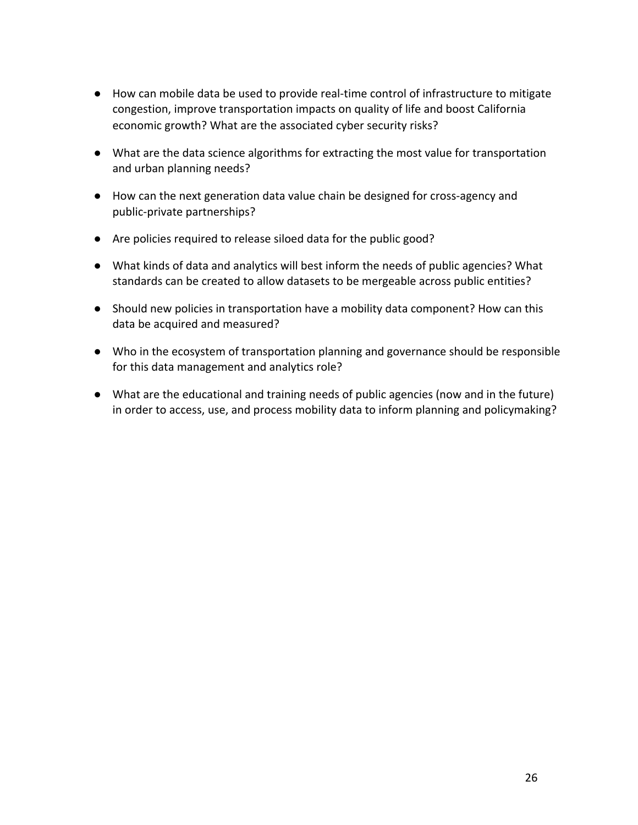- How can mobile data be used to provide real-time control of infrastructure to mitigate congestion, improve transportation impacts on quality of life and boost California economic growth? What are the associated cyber security risks?
- What are the data science algorithms for extracting the most value for transportation and urban planning needs?
- How can the next generation data value chain be designed for cross-agency and public-private partnerships?
- Are policies required to release siloed data for the public good?
- What kinds of data and analytics will best inform the needs of public agencies? What standards can be created to allow datasets to be mergeable across public entities?
- Should new policies in transportation have a mobility data component? How can this data be acquired and measured?
- Who in the ecosystem of transportation planning and governance should be responsible for this data management and analytics role?
- What are the educational and training needs of public agencies (now and in the future) in order to access, use, and process mobility data to inform planning and policymaking?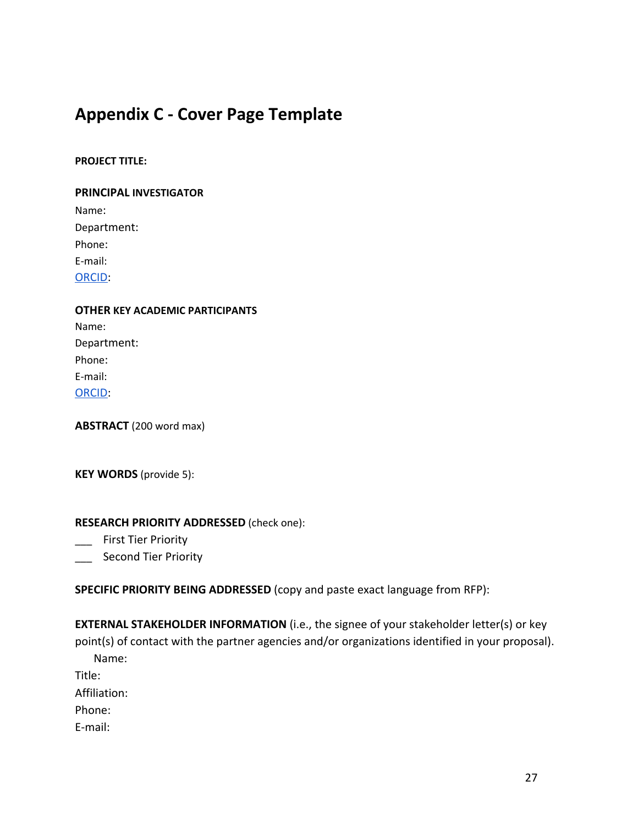# <span id="page-26-0"></span>**Appendix C - Cover Page Template**

#### **PROJECT TITLE:**

#### **PRINCIPAL INVESTIGATOR**

Name: Department: Phone: E-mail: [ORCID:](https://orcid.org/)

# **OTHER KEY ACADEMIC PARTICIPANTS** Name:

Department: Phone: E-mail: [ORCID:](https://orcid.org/)

**ABSTRACT** (200 word max)

**KEY WORDS** (provide 5):

#### **RESEARCH PRIORITY ADDRESSED** (check one):

- \_\_\_ First Tier Priority
- **Second Tier Priority**

**SPECIFIC PRIORITY BEING ADDRESSED** (copy and paste exact language from RFP):

**EXTERNAL STAKEHOLDER INFORMATION** (i.e., the signee of your stakeholder letter(s) or key point(s) of contact with the partner agencies and/or organizations identified in your proposal). Name:

Title:

Affiliation:

Phone:

E-mail: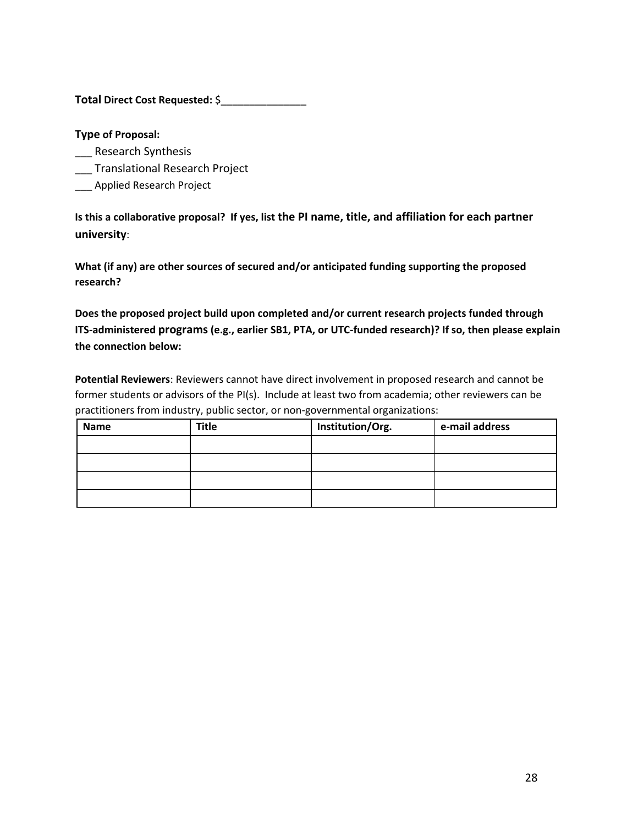**Total Direct Cost Requested:** \$\_\_\_\_\_\_\_\_\_\_\_\_\_\_\_

**Type of Proposal:**

- \_\_ Research Synthesis
- \_\_\_ Translational Research Project
- \_\_\_ Applied Research Project

**Is this a collaborative proposal? If yes, list the PI name, title, and affiliation for each partner university**:

**What (if any) are other sources of secured and/or anticipated funding supporting the proposed research?**

**Does the proposed project build upon completed and/or current research projects funded through ITS-administered programs (e.g., earlier SB1, PTA, or UTC-funded research)? If so, then please explain the connection below:**

**Potential Reviewers**: Reviewers cannot have direct involvement in proposed research and cannot be former students or advisors of the PI(s). Include at least two from academia; other reviewers can be practitioners from industry, public sector, or non-governmental organizations:

| <b>Name</b> | <b>Title</b> | Institution/Org. | e-mail address |
|-------------|--------------|------------------|----------------|
|             |              |                  |                |
|             |              |                  |                |
|             |              |                  |                |
|             |              |                  |                |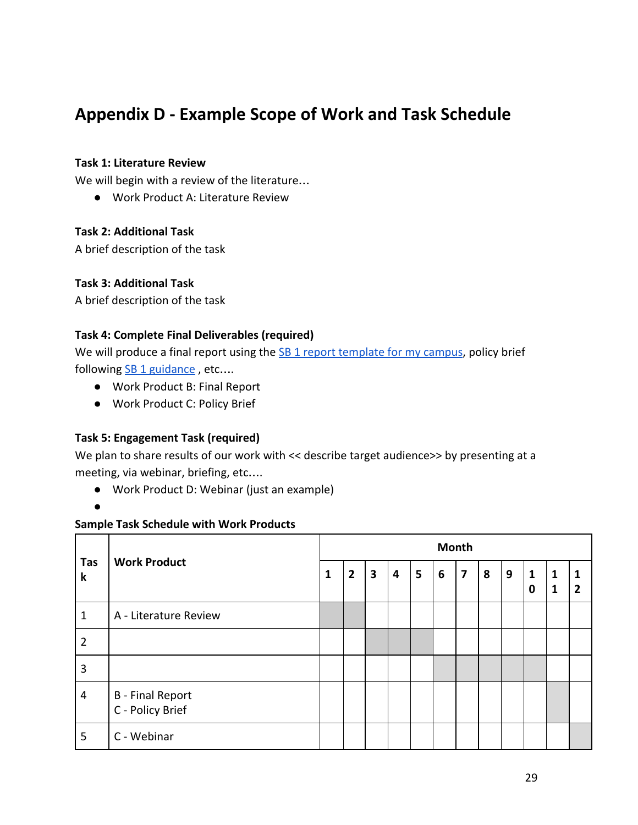# <span id="page-28-0"></span>**Appendix D - Example Scope of Work and Task Schedule**

#### **Task 1: Literature Review**

We will begin with a review of the literature…

● Work Product A: Literature Review

### **Task 2: Additional Task**

A brief description of the task

### **Task 3: Additional Task**

A brief description of the task

### **Task 4: Complete Final Deliverables (required)**

We will produce a final report using the  $SB$  1 report template for my campus, policy brief following SB 1 guidance, etc....

- Work Product B: Final Report
- Work Product C: Policy Brief

### **Task 5: Engagement Task (required)**

We plan to share results of our work with << describe target audience>> by presenting at a meeting, via webinar, briefing, etc….

● Work Product D: Webinar (just an example)

●

### **Sample Task Schedule with Work Products**

| Tas<br>$\mathbf k$ | <b>Work Product</b>                         | <b>Month</b> |                |                         |                         |   |   |                         |   |   |                             |                              |                                |
|--------------------|---------------------------------------------|--------------|----------------|-------------------------|-------------------------|---|---|-------------------------|---|---|-----------------------------|------------------------------|--------------------------------|
|                    |                                             | 1            | $\overline{2}$ | $\overline{\mathbf{3}}$ | $\overline{\mathbf{4}}$ | 5 | 6 | $\overline{\mathbf{z}}$ | 8 | 9 | $\mathbf{1}$<br>$\mathbf 0$ | $\mathbf{1}$<br>$\mathbf{1}$ | $\mathbf{1}$<br>$\overline{2}$ |
| $\mathbf{1}$       | A - Literature Review                       |              |                |                         |                         |   |   |                         |   |   |                             |                              |                                |
| $\overline{2}$     |                                             |              |                |                         |                         |   |   |                         |   |   |                             |                              |                                |
| 3                  |                                             |              |                |                         |                         |   |   |                         |   |   |                             |                              |                                |
| 4                  | <b>B</b> - Final Report<br>C - Policy Brief |              |                |                         |                         |   |   |                         |   |   |                             |                              |                                |
| 5                  | C - Webinar                                 |              |                |                         |                         |   |   |                         |   |   |                             |                              |                                |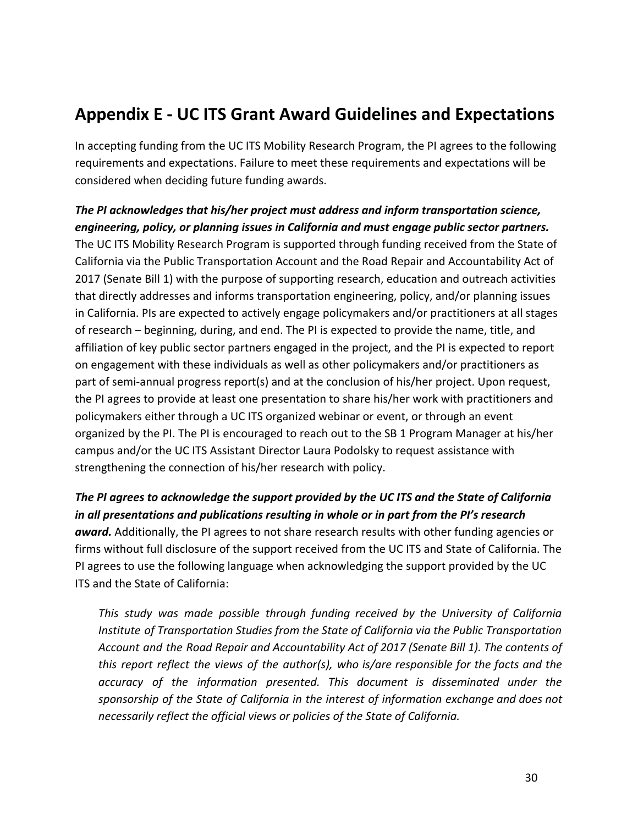# <span id="page-29-0"></span>**Appendix E - UC ITS Grant Award Guidelines and Expectations**

In accepting funding from the UC ITS Mobility Research Program, the PI agrees to the following requirements and expectations. Failure to meet these requirements and expectations will be considered when deciding future funding awards.

# *The PI acknowledges that his/her project must address and inform transportation science, engineering, policy, or planning issues in California and must engage public sector partners.* The UC ITS Mobility Research Program is supported through funding received from the State of California via the Public Transportation Account and the Road Repair and Accountability Act of 2017 (Senate Bill 1) with the purpose of supporting research, education and outreach activities that directly addresses and informs transportation engineering, policy, and/or planning issues in California. PIs are expected to actively engage policymakers and/or practitioners at all stages of research – beginning, during, and end. The PI is expected to provide the name, title, and affiliation of key public sector partners engaged in the project, and the PI is expected to report on engagement with these individuals as well as other policymakers and/or practitioners as part of semi-annual progress report(s) and at the conclusion of his/her project. Upon request, the PI agrees to provide at least one presentation to share his/her work with practitioners and policymakers either through a UC ITS organized webinar or event, or through an event organized by the PI. The PI is encouraged to reach out to the SB 1 Program Manager at his/her campus and/or the UC ITS Assistant Director Laura Podolsky to request assistance with strengthening the connection of his/her research with policy.

*The PI agrees to acknowledge the support provided by the UC ITS and the State of California in all presentations and publications resulting in whole or in part from the PI's research award.* Additionally, the PI agrees to not share research results with other funding agencies or firms without full disclosure of the support received from the UC ITS and State of California. The PI agrees to use the following language when acknowledging the support provided by the UC ITS and the State of California:

*This study was made possible through funding received by the University of California Institute of Transportation Studies from the State of California via the Public Transportation Account and the Road Repair and Accountability Act of 2017 (Senate Bill 1). The contents of this report reflect the views of the author(s), who is/are responsible for the facts and the accuracy of the information presented. This document is disseminated under the sponsorship of the State of California in the interest of information exchange and does not necessarily reflect the official views or policies of the State of California.*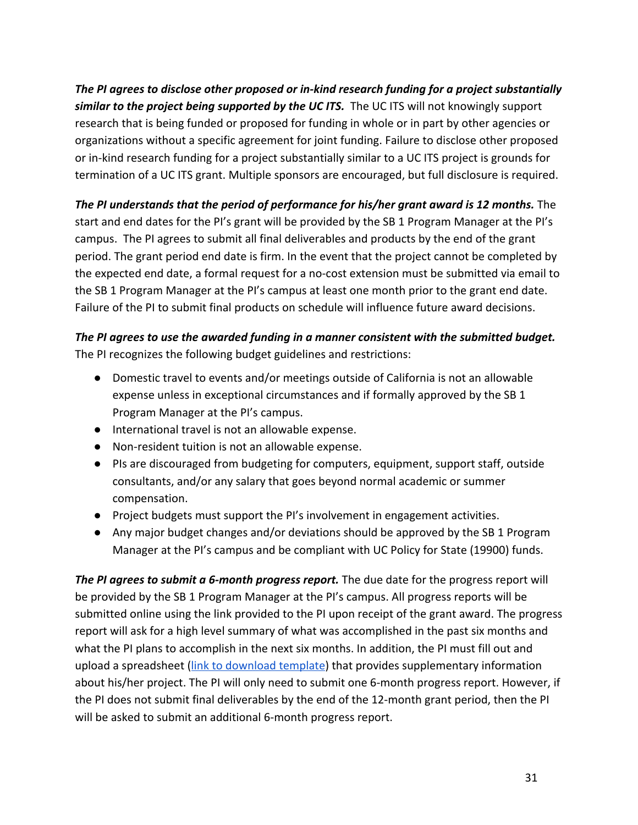*The PI agrees to disclose other proposed or in-kind research funding for a project substantially similar to the project being supported by the UC ITS.* The UC ITS will not knowingly support research that is being funded or proposed for funding in whole or in part by other agencies or organizations without a specific agreement for joint funding. Failure to disclose other proposed or in-kind research funding for a project substantially similar to a UC ITS project is grounds for termination of a UC ITS grant. Multiple sponsors are encouraged, but full disclosure is required.

*The PI understands that the period of performance for his/her grant award is 12 months.* **The** start and end dates for the PI's grant will be provided by the SB 1 Program Manager at the PI's campus. The PI agrees to submit all final deliverables and products by the end of the grant period. The grant period end date is firm. In the event that the project cannot be completed by the expected end date, a formal request for a no-cost extension must be submitted via email to the SB 1 Program Manager at the PI's campus at least one month prior to the grant end date. Failure of the PI to submit final products on schedule will influence future award decisions.

### *The PI agrees to use the awarded funding in a manner consistent with the submitted budget.*

The PI recognizes the following budget guidelines and restrictions:

- Domestic travel to events and/or meetings outside of California is not an allowable expense unless in exceptional circumstances and if formally approved by the SB 1 Program Manager at the PI's campus.
- International travel is not an allowable expense.
- Non-resident tuition is not an allowable expense.
- PIs are discouraged from budgeting for computers, equipment, support staff, outside consultants, and/or any salary that goes beyond normal academic or summer compensation.
- Project budgets must support the PI's involvement in engagement activities.
- Any major budget changes and/or deviations should be approved by the SB 1 Program Manager at the PI's campus and be compliant with UC Policy for State (19900) funds.

**The PI agrees to submit a 6-month progress report.** The due date for the progress report will be provided by the SB 1 Program Manager at the PI's campus. All progress reports will be submitted online using the link provided to the PI upon receipt of the grant award. The progress report will ask for a high level summary of what was accomplished in the past six months and what the PI plans to accomplish in the next six months. In addition, the PI must fill out and upload a spreadsheet ([link to download template](https://drive.google.com/open?id=1UAoRu8gg2bvpoKzqk784fY-ao9lcUU5ZvgAmsOKuhE8)) that provides supplementary information about his/her project. The PI will only need to submit one 6-month progress report. However, if the PI does not submit final deliverables by the end of the 12-month grant period, then the PI will be asked to submit an additional 6-month progress report.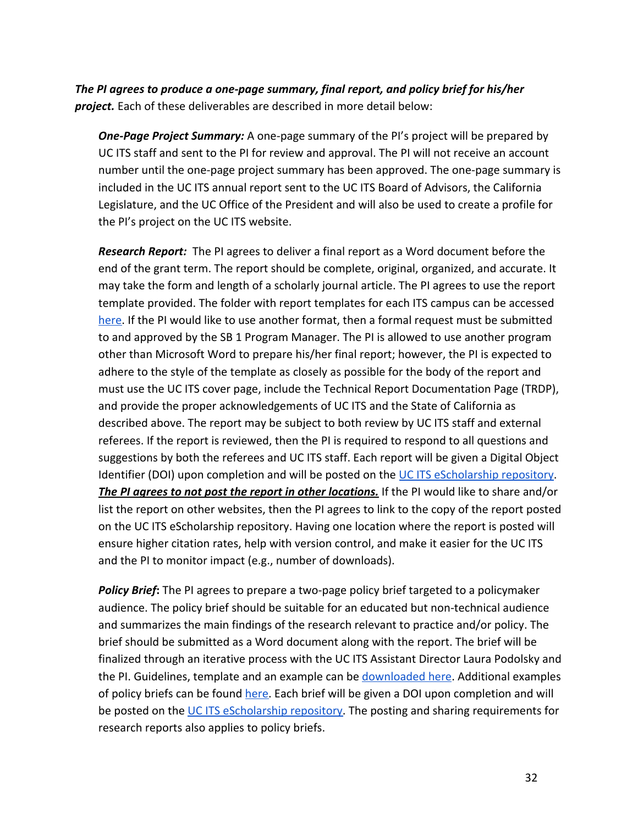*The PI agrees to produce a one-page summary, final report, and policy brief for his/her project.* Each of these deliverables are described in more detail below:

**One-Page Project Summary:** A one-page summary of the PI's project will be prepared by UC ITS staff and sent to the PI for review and approval. The PI will not receive an account number until the one-page project summary has been approved. The one-page summary is included in the UC ITS annual report sent to the UC ITS Board of Advisors, the California Legislature, and the UC Office of the President and will also be used to create a profile for the PI's project on the UC ITS website.

*Research Report:* The PI agrees to deliver a final report as a Word document before the end of the grant term. The report should be complete, original, organized, and accurate. It may take the form and length of a scholarly journal article. The PI agrees to use the report template provided. The folder with report templates for each ITS campus can be accessed [here.](https://drive.google.com/drive/folders/1UHJcA7PBgBxqKpYMNgiaejKjhm8J5RBv?usp=sharing) If the PI would like to use another format, then a formal request must be submitted to and approved by the SB 1 Program Manager. The PI is allowed to use another program other than Microsoft Word to prepare his/her final report; however, the PI is expected to adhere to the style of the template as closely as possible for the body of the report and must use the UC ITS cover page, include the Technical Report Documentation Page (TRDP), and provide the proper acknowledgements of UC ITS and the State of California as described above. The report may be subject to both review by UC ITS staff and external referees. If the report is reviewed, then the PI is required to respond to all questions and suggestions by both the referees and UC ITS staff. Each report will be given a Digital Object Identifier (DOI) upon completion and will be posted on the [UC ITS eScholarship repository.](https://escholarship.org/uc/ucits) *The PI agrees to not post the report in other locations.* If the PI would like to share and/or list the report on other websites, then the PI agrees to link to the copy of the report posted on the UC ITS eScholarship repository. Having one location where the report is posted will ensure higher citation rates, help with version control, and make it easier for the UC ITS and the PI to monitor impact (e.g., number of downloads).

*Policy Brief***:** The PI agrees to prepare a two-page policy brief targeted to a policymaker audience. The policy brief should be suitable for an educated but non-technical audience and summarizes the main findings of the research relevant to practice and/or policy. The brief should be submitted as a Word document along with the report. The brief will be finalized through an iterative process with the UC ITS Assistant Director Laura Podolsky and the PI. Guidelines, template and an example can be [downloaded here.](https://drive.google.com/open?id=1HI_UAbeXH4ibV--NXGLxHyprzD0PPgcc) Additional examples of policy briefs can be found [here.](https://escholarship.org/uc/ucits_pb) Each brief will be given a DOI upon completion and will be posted on the [UC ITS eScholarship repository.](https://escholarship.org/uc/ucits) The posting and sharing requirements for research reports also applies to policy briefs.